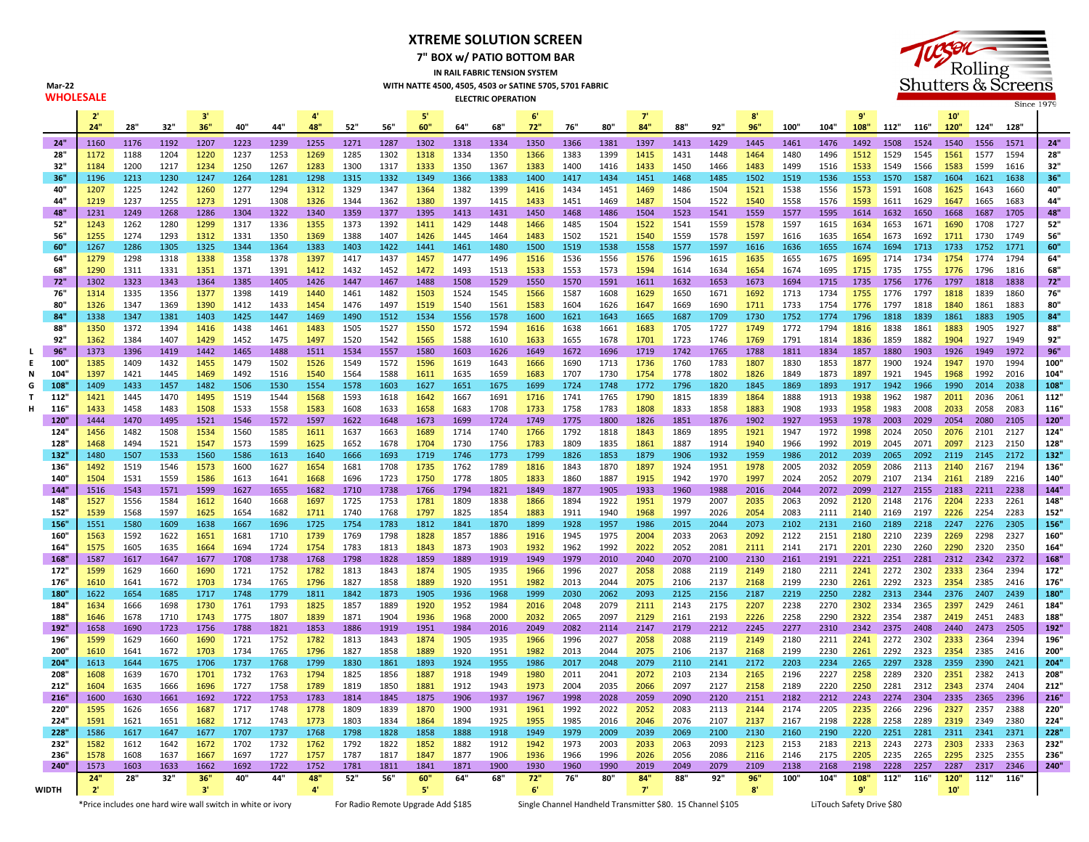**XTREME SOLUTION SCREEN**

**7" BOX w/ PATIO BOTTOM BAR**





Mar-22<br>**WHOLESALE** 

|                                                             | 2'           |              |              | 3'           |              |              | $\mathbf{A}^{\prime}$ |                                    |              | 5            |              |                                                            | 6            |              |              | T            |              |              | $\mathbf{S}'$             |              |              | 9'           |              |              | 10                     |              |              |              |  |  |
|-------------------------------------------------------------|--------------|--------------|--------------|--------------|--------------|--------------|-----------------------|------------------------------------|--------------|--------------|--------------|------------------------------------------------------------|--------------|--------------|--------------|--------------|--------------|--------------|---------------------------|--------------|--------------|--------------|--------------|--------------|------------------------|--------------|--------------|--------------|--|--|
|                                                             | 24"          | 28"          | 32"          | 36"          | 40"          | 44"          | 48"                   | 52"                                | 56"          | 60"          | 64"          | 68"                                                        | 72"          | 76"          | 80"          | 84"          | 88"          | 92"          | 96"                       | 100"         | 104"         | 108"         | 112" 116"    |              | 120"                   | 124"         | 128"         |              |  |  |
| 24"                                                         | 1160         | 1176         | 1192         | 1207         | 1223         | 1239         | 1255                  | 1271                               | 1287         | 1302         | 1318         | 1334                                                       | 1350         | 1366         | 1381         | 1397         | 1413         | 1429         | 1445                      | 1461         | 1476         | 1492         | 1508         | 1524         | 1540                   | 1556         | 1571         | 24"          |  |  |
| 28"                                                         | 1172         | 1188         | 1204         | 1220         | 1237         | 1253         | 1269                  | 1285                               | 1302         | 1318         | 1334         | 1350                                                       | 1366         | 1383         | 1399         | 1415         | 1431         | 1448         | 1464                      | 1480         | 1496         | 1512         | 1529         | 1545         | 1561                   | 1577         | 1594         | 28"          |  |  |
| 32"                                                         | 1184         | 1200         | 1217         | 1234         | 1250         | 1267         | 1283                  | 1300                               | 1317         | 1333         | 1350         | 1367                                                       | 1383         | 1400         | 1416         | 1433         | 1450         | 1466         | 1483                      | 1499         | 1516         | 1533         | 1549         | 1566         | 1583                   | 1599         | 1616         | 32"          |  |  |
| 36"                                                         | 1196         | 1213         | 1230         | 1247         | 1264         | 1281         | 1298                  | 1315                               | 1332         | 1349         | 1366         | 1383                                                       | 1400         | 1417         | 1434         | 1451         | 1468         | 1485         | 1502                      | 1519         | 1536         | 1553         | 1570         | 1587         | 1604                   | 1621         | 1638         | 36'          |  |  |
| 40"                                                         | 1207         | 1225         | 1242         | 1260         | 1277         | 1294         | 1312                  | 1329                               | 1347         | 1364         | 1382         | 1399                                                       | 1416         | 1434         | 1451         | 1469         | 1486         | 1504         | 1521                      | 1538         | 1556         | 1573         | 1591         | 1608         | 1625                   | 1643         | 1660         | 40"          |  |  |
| 44"                                                         | 1219         | 1237         | 1255         | 1273         | 1291         | 1308         | 1326                  | 1344                               | 1362         | 1380         | 1397         | 1415                                                       | 1433         | 1451         | 1469         | 1487         | 1504         | 1522         | 1540                      | 1558         | 1576         | 1593         | 1611         | 1629         | 1647                   | 1665         | 1683         | 44"          |  |  |
| 48"                                                         | 1231         | 1249         | 1268         | 1286         | 1304         | 1322         | 1340                  | 1359                               | 1377         | 1395         | 1413         | 1431                                                       | 1450         | 1468         | 1486         | 1504         | 1523         | 1541         | 1559                      | 1577         | 1595         | 1614         | 1632         | 1650         | 1668                   | 1687         | 1705         | 48"          |  |  |
| 52"<br>56"                                                  | 1243<br>1255 | 1262<br>1274 | 1280<br>1293 | 1299         | 1317<br>1331 | 1336<br>1350 | 1355                  | 1373<br>1388                       | 1392         | 1411         | 1429<br>1445 | 1448<br>1464                                               | 1466         | 1485         | 1504<br>1521 | 1522         | 1541         | 1559<br>1578 | 1578                      | 1597         | 1615<br>1635 | 1634         | 1653         | 1671         | 1690                   | 1708         | 1727<br>1749 | 52"<br>56"   |  |  |
| 60"                                                         | 1267         | 1286         | 1305         | 1312<br>1325 | 1344         | 1364         | 1369<br>1383          | 1403                               | 1407<br>1422 | 1426<br>1441 | 1461         | 1480                                                       | 1483<br>1500 | 1502<br>1519 | 1538         | 1540<br>1558 | 1559<br>1577 | 1597         | 1597<br>1616              | 1616<br>1636 | 1655         | 1654<br>1674 | 1673<br>1694 | 1692<br>1713 | 1711 1730<br>1733 1752 |              | 1771         | 60'          |  |  |
| 64"                                                         | 1279         | 1298         | 1318         | 1338         | 1358         | 1378         | 1397                  | 1417                               | 1437         | 1457         | 1477         | 1496                                                       | 1516         | 1536         | 1556         | 1576         | 1596         | 1615         | 1635                      | 1655         | 1675         | 1695         | 1714         | 1734         | 1754 1774              |              | 1794         | 64"          |  |  |
| 68"                                                         | 1290         | 1311         | 1331         | 1351         | 1371         | 1391         | 1412                  | 1432                               | 1452         | 1472         | 1493         | 1513                                                       | 1533         | 1553         | 1573         | 1594         | 1614         | 1634         | 1654                      | 1674         | 1695         | 1715         | 1735         | 1755         | 1776                   | 1796         | 1816         | 68"          |  |  |
| 72"                                                         | 1302         | 1323         | 1343         | 1364         | 1385         | 1405         | 1426                  | 1447                               | 1467         | 1488         | 1508         | 1529                                                       | 1550         | 1570         | 1591         | 1611         | 1632         | 1653         | 1673                      | 1694         | 1715         | 1735         | 1756         | 1776         | 1797                   | 1818         | 1838         | 72"          |  |  |
| 76"                                                         | 1314         | 1335         | 1356         | 1377         | 1398         | 1419         | 1440                  | 1461                               | 1482         | 1503         | 1524         | 1545                                                       | 1566         | 1587         | 1608         | 1629         | 1650         | 1671         | 1692                      | 1713         | 1734         | 1755         | 1776         | 1797         | 1818                   | 1839         | 1860         | 76"          |  |  |
| 80"                                                         | 1326         | 1347         | 1369         | 1390         | 1412         | 1433         | 1454                  | 1476                               | 1497         | 1519         | 1540         | 1561                                                       | 1583         | 1604         | 1626         | 1647         | 1669         | 1690         | 1711                      | 1733         | 1754         | 1776         | 1797         | 1818         | 1840                   | 1861         | 1883         | 80"          |  |  |
| 84"                                                         | 1338         | 1347         | 1381         | 1403         | 1425         | 1447         | 1469                  | 1490                               | 1512         | 1534         | 1556         | 1578                                                       | 1600         | 1621         | 1643         | 1665         | 1687         | 1709         | 1730                      | 1752         | 1774         | 1796         | 1818         | 1839         | 1861                   | 1883         | 1905         | 84"          |  |  |
| 88"                                                         | 1350         | 1372         | 1394         | 1416         | 1438         | 1461         | 1483                  | 1505                               | 1527         | 1550         | 1572         | 1594                                                       | 1616         | 1638         | 1661         | 1683         | 1705         | 1727         | 1749                      | 1772         | 1794         | 1816         | 1838         | 1861         | 1883                   | 1905         | 1927         | 88"          |  |  |
| 92"                                                         | 1362         | 1384         | 1407         | 1429         | 1452         | 1475         | 1497                  | 1520                               | 1542         | 1565         | 1588         | 1610                                                       | 1633         | 1655         | 1678         | 1701         | 1723         | 1746         | 1769                      | 1791         | 1814         | 1836         | 1859         | 1882         | 1904                   | 1927         | 1949         | 92"          |  |  |
| 96"                                                         | 1373         | 1396         | 1419         | 1442         | 1465         | 1488         | 1511                  | 1534                               | 1557         | 1580         | 1603         | 1626                                                       | 1649         | 1672         | 1696         | 1719         | 1742         | 1765         | 1788                      | 1811         | 1834         | 1857         | 1880         | 1903         | 1926                   | 1949         | 1972         | 96"          |  |  |
| E<br>100                                                    | 1385         | 1409         | 1432         | 1455         | 1479         | 1502         | 1526                  | 1549                               | 1572         | 1596         | 1619         | 1643                                                       | 1666         | 1690         | 1713         | 1736         | 1760         | 1783         | 1807                      | 1830         | 1853         | 1877         | 1900         | 1924         | 1947                   | 1970         | 1994         | 100"         |  |  |
| 104                                                         | 1397         | 1421         | 1445         | 1469         | 1492         | 1516         | 1540                  | 1564                               | 1588         | 1611         | 1635         | 1659                                                       | 1683         | 1707         | 1730         | 1754         | 1778         | 1802         | 1826                      | 1849         | 1873         | 1897         | 1921         | 1945         | 1968                   | 1992         | 2016         | 104"         |  |  |
| 108                                                         | 1409         | 1433         | 1457         | 1482         | 1506         | 1530         | 1554                  | 1578                               | 1603         | 1627         | 1651         | 1675                                                       | 1699         | 1724         | 1748         | 1772         | 1796         | 1820         | 1845                      | 1869         | 1893         | 1917         | 1942         | 1966         | 1990                   | 2014         | 2038         | 108          |  |  |
| 112"                                                        | 1421         | 1445         | 1470         | 1495         | 1519         | 1544         | 1568                  | 1593                               | 1618         | 1642         | 1667         | 1691                                                       | 1716         | 1741         | 1765         | 1790         | 1815         | 1839         | 1864                      | 1888         | 1913         | 1938         | 1962         | 1987         | 2011                   | 2036         | 2061         | 112"         |  |  |
| 116                                                         | 1433         | 1458         | 1483         | 1508         | 1533         | 1558         | 1583                  | 1608                               | 1633         | 1658         | 1683         | 1708                                                       | 1733         | 1758         | 1783         | 1808         | 1833         | 1858         | 1883                      | 1908         | 1933         | 1958         | 1983         | 2008         | 2033                   | 2058         | 2083         | 116"         |  |  |
| 120"                                                        | 1444         | 1470         | 1495         | 1521         | 1546         | 1572         | 1597                  | 1622                               | 1648         | 1673         | 1699         | 1724                                                       | 1749         | 1775         | 1800         | 1826         | 1851         | 1876         | 1902                      | 1927         | 1953         | 1978         | 2003         | 2029         | 2054                   | 2080         | 2105         | 120'         |  |  |
| 124                                                         | 1456         | 1482         | 1508         | 1534         | 1560         | 1585         | 1611                  | 1637                               | 1663         | 1689         | 1714         | 1740                                                       | 1766         | 1792         | 1818         | 1843         | 1869         | 1895         | 1921                      | 1947         | 1972         | 1998         | 2024         | 2050         | 2076                   | 2101         | 2127         | 124"         |  |  |
| 128                                                         | 1468         | 1494         | 1521         | 1547         | 1573         | 1599         | 1625                  | 1652                               | 1678         | 1704         | 1730         | 1756                                                       | 1783         | 1809         | 1835         | 1861         | 1887         | 1914         | 1940                      | 1966         | 1992         | 2019         | 2045         | 2071         | 2097                   | 2123         | 2150         | 128"         |  |  |
| 132"<br>136"                                                | 1480         | 1507<br>1519 | 1533         | 1560         | 1586         | 1613         | 1640                  | 1666                               | 1693         | 1719         | 1746<br>1762 | 1773                                                       | 1799         | 1826<br>1843 | 1853         | 1879         | 1906<br>1924 | 1932         | 1959                      | 1986<br>2005 | 2012         | 2039         | 2065<br>2086 | 2092<br>2113 | 2119                   | 2145         | 2172<br>2194 | 132"         |  |  |
| 140"                                                        | 1492<br>1504 | 1531         | 1546<br>1559 | 1573<br>1586 | 1600<br>1613 | 1627<br>1641 | 1654<br>1668          | 1681<br>1696                       | 1708<br>1723 | 1735<br>1750 | 1778         | 1789<br>1805                                               | 1816<br>1833 | 1860         | 1870<br>1887 | 1897<br>1915 | 1942         | 1951<br>1970 | 1978<br>1997              | 2024         | 2032<br>2052 | 2059<br>2079 | 2107         | 2134         | 2140<br>2161           | 2167<br>2189 | 2216         | 136'<br>140  |  |  |
| 144"                                                        | 1516         | 1543         | 1571         | 1599         | 1627         | 1655         | 1682                  | 1710                               | 1738         | 1766         | 1794         | 1821                                                       | 1849         | 1877         | 1905         | 1933         | 1960         | 1988         | 2016                      | 2044         | 2072         | 2099         | 2127         | 2155         | 2183                   | 2211         | 2238         | 144"         |  |  |
| 148"                                                        | 1527         | 1556         | 1584         | 1612         | 1640         | 1668         | 1697                  | 1725                               | 1753         | 1781         | 1809         | 1838                                                       | 1866         | 1894         | 1922         | 1951         | 1979         | 2007         | 2035                      | 2063         | 2092         | 2120         | 2148         | 2176         | 2204                   | 2233         | 2261         | 148"         |  |  |
| 152"                                                        | 1539         | 1568         | 1597         | 1625         | 1654         | 1682         | 1711                  | 1740                               | 1768         | 1797         | 1825         | 1854                                                       | 1883         | 1911         | 1940         | 1968         | 1997         | 2026         | 2054                      | 2083         | 2111         | 2140         | 2169         | 2197         |                        | 2226 2254    | 2283         | 152"         |  |  |
| 156                                                         | 1551         | 1580         | 1609         | 1638         | 1667         | 1696         | 1725                  | 1754                               | 1783         | 1812         | 1841         | 1870                                                       | 1899         | 1928         | 1957         | 1986         | 2015         | 2044         | 2073                      | 2102         | 2131         | 2160         | 2189         | 2218         | 2247                   | 2276         | 2305         | 156          |  |  |
| 160"                                                        | 1563         | 1592         | 1622         | 1651         | 1681         | 1710         | 1739                  | 1769                               | 1798         | 1828         | 1857         | 1886                                                       | 1916         | 1945         | 1975         | 2004         | 2033         | 2063         | 2092                      | 2122         | 2151         | 2180         | 2210         | 2239         | 2269                   | 2298         | 2327         | 160"         |  |  |
| 164"                                                        | 1575         | 1605         | 1635         | 1664         | 1694         | 1724         | 1754                  | 1783                               | 1813         | 1843         | 1873         | 1903                                                       | 1932         | 1962         | 1992         | 2022         | 2052         | 2081         | 2111                      | 2141         | 2171         | 2201         | 2230         | 2260         | 2290                   | 2320         | 2350         | 164"         |  |  |
| 168"                                                        | 1587         | 1617         | 1647         | 1677         | 1708         | 1738         | 1768                  | 1798                               | 1828         | 1859         | 1889         | 1919                                                       | 1949         | 1979         | 2010         | 2040         | 2070         | 2100         | 2130                      | 2161         | 2191         | 2221         | 2251         | 2281         | 2312                   | 2342         | 2372         | 168"         |  |  |
| 172"                                                        | 1599         | 1629         | 1660         | 1690         | 1721         | 1752         | 1782                  | 1813                               | 1843         | 1874         | 1905         | 1935                                                       | 1966         | 1996         | 2027         | 2058         | 2088         | 2119         | 2149                      | 2180         | 2211         | 2241         | 2272         | 2302         | 2333                   | 2364         | 2394         | 172"         |  |  |
| 176"                                                        | 1610         | 1641         | 1672         | 1703         | 1734         | 1765         | 1796                  | 1827                               | 1858         | 1889         | 1920         | 1951                                                       | 1982         | 2013         | 2044         | 2075         | 2106         | 2137         | 2168                      | 2199         | 2230         | 2261         | 2292         | 2323         | 2354                   | 2385         | 2416         | 176"         |  |  |
| 180"                                                        | 1622         | 1654         | 1685         | 1717         | 1748         | 1779         | 1811                  | 1842                               | 1873         | 1905         | 1936         | 1968                                                       | 1999         | 2030         | 2062         | 2093         | 2125         | 2156         | 2187                      | 2219         | 2250         | 2282         | 2313         | 2344         | 2376 2407              |              | 2439         | 180          |  |  |
| 184"                                                        | 1634         | 1666         | 1698         | 1730         | 1761         | 1793         | 1825                  | 1857                               | 1889         | 1920         | 1952         | 1984                                                       | 2016         | 2048         | 2079         | 2111         | 2143         | 2175         | 2207                      | 2238         | 2270         | 2302         | 2334         | 2365         | 2397                   | 2429         | 2461         | 184"         |  |  |
| 188"                                                        | 1646         | 1678         | 1710         | 1743         | 1775         | 1807         | 1839                  | 1871                               | 1904         | 1936         | 1968         | 2000                                                       | 2032         | 2065         | 2097         | 2129         | 2161         | 2193         | 2226                      | 2258         | 2290         | 2322         | 2354         | 2387         | 2419                   | 2451         | 2483         | 188"         |  |  |
| 192                                                         | 1658         | 1690         | 1723         | 1756         | 1788         | 1821         | 1853                  | 1886                               | 1919         | 1951         | 1984         | 2016                                                       | 2049         | 2082         | 2114         | 2147         | 2179         | 2212         | 2245                      | 2277         | 2310         | 2342         | 2375         | 2408         | 2440                   | 2473         | 2505         | 192"         |  |  |
| 196"                                                        | 1599         | 1629         | 1660         | 1690         | 1721         | 1752         | 1782                  | 1813                               | 1843         | 1874         | 1905         | 1935                                                       | 1966         | 1996         | 2027         | 2058         | 2088         | 2119         | 2149                      | 2180         | 2211         | 2241         | 2272         | 2302         | 2333                   | 2364         | 2394         | 196"         |  |  |
| 200"<br>204"                                                | 1610<br>1613 | 1641<br>1644 | 1672<br>1675 | 1703<br>1706 | 1734<br>1737 | 1765<br>1768 | 1796<br>1799          | 1827<br>1830                       | 1858<br>1861 | 1889<br>1893 | 1920<br>1924 | 1951<br>1955                                               | 1982<br>1986 | 2013<br>2017 | 2044<br>2048 | 2075<br>2079 | 2106<br>2110 | 2137<br>2141 | 2168<br>2172              | 2199<br>2203 | 2230<br>2234 | 2261<br>2265 | 2292<br>2297 | 2323<br>2328 | 2354<br>2359           | 2385<br>2390 | 2416<br>2421 | 200"<br>204" |  |  |
| 208"                                                        | 1608         | 1639         | 1670         | 1701         | 1732         | 1763         | 1794                  | 1825                               | 1856         | 1887         | 1918         | 1949                                                       | 1980         | 2011         | 2041         | 2072         | 2103         | 2134         | 2165                      | 2196         | 2227         | 2258         | 2289         | 2320         | 2351                   | 2382         | 2413         | 208"         |  |  |
| 212"                                                        | 1604         | 1635         | 1666         | 1696         | 1727         | 1758         | 1789                  | 1819                               | 1850         | 1881         | 1912         | 1943                                                       | 1973         | 2004         | 2035         | 2066         | 2097         | 2127         | 2158                      | 2189         | 2220         | 2250         | 2281         | 2312         | 2343                   | 2374         | 2404         | 212"         |  |  |
| 216"                                                        | 1600         | 1630         | 1661         | 1692         | 1722         | 1753         | 1783                  | 1814                               | 1845         | 1875         | 1906         | 1937                                                       | 1967         | 1998         | 2028         | 2059         | 2090         | 2120         | 2151                      | 2182         | 2212         | 2243         | 2274         | 2304         | 2335                   | 2365         | 2396         | 216"         |  |  |
| 220"                                                        | 1595         | 1626         | 1656         | 1687         | 1717         | 1748         | 1778                  | 1809                               | 1839         | 1870         | 1900         | 1931                                                       | 1961         | 1992         | 2022         | 2052         | 2083         | 2113         | 2144                      | 2174         | 2205         | 2235         | 2266         | 2296         | 2327                   | 2357         | 2388         | 220"         |  |  |
| 224                                                         | 1591         | 1621         | 1651         | 1682         | 1712         | 1743         | 1773                  | 1803                               | 1834         | 1864         | 1894         | 1925                                                       | 1955         | 1985         | 2016         | 2046         | 2076         | 2107         | 2137                      | 2167         | 2198         | 2228         | 2258         | 2289         | 2319                   | 2349         | 2380         | 224"         |  |  |
| 228"                                                        | 1586         | 1617         | 1647         | 1677         | 1707         | 1737         | 1768                  | 1798                               | 1828         | 1858         | 1888         | 1918                                                       | 1949         | 1979         | 2009         | 2039         | 2069         | 2100         | 2130                      | 2160         | 2190         | 2220         | 2251         | 2281         | 2311                   | 2341         | 2371         | 228          |  |  |
| 232"                                                        | 1582         | 1612         | 1642         | 1672         | 1702         | 1732         | 1762                  | 1792                               | 1822         | 1852         | 1882         | 1912                                                       | 1942         | 1973         | 2003         | 2033         | 2063         | 2093         | 2123                      | 2153         | 2183         | 2213         | 2243         | 2273         | 2303                   | 2333         | 2363         | 232"         |  |  |
| 236'                                                        | 1578         | 1608         | 1637         | 1667         | 1697         | 1727         | 1757                  | 1787                               | 1817         | 1847         | 1877         | 1906                                                       | 1936         | 1966         | 1996         | 2026         | 2056         | 2086         | 2116                      | 2146         | 2175         | 2205         | 2235         | 2265         | 2295                   | 2325         | 2355         | 236"         |  |  |
| 240"                                                        | 1573         | 1603         | 1633         | 1662         | 1692         | 1722         | 1752                  | 1781                               | 1811         | 1841         | 1871         | 1900                                                       | 1930         | 1960         | 1990         | 2019         | 2049         | 2079         | 2109                      | 2138         | 2168         | 2198         | 2228         | 2257         | 2287                   | 2317         | 2346         | 240"         |  |  |
|                                                             | 24'          | 28"          | 32"          | 36"          | 40"          | 44"          | 48"                   | 52"                                | 56"          | 60"          | 64"          | 68"                                                        | 72"          | 76"          | 80"          | 84'          | 88"          | 92"          | 96"                       | 100"         | 104"         | 108"         | 112"         | 116"         | 120"                   | 112"         | 116"         |              |  |  |
| <b>WIDTH</b>                                                | 2'           |              |              | 3'           |              |              | 4'                    |                                    |              | 51           |              |                                                            | 6'           |              |              | -7'          |              |              | 8'                        |              |              | -q'          |              |              | 10'                    |              |              |              |  |  |
| *Price includes one hard wire wall switch in white or ivory |              |              |              |              |              |              |                       | For Radio Remote Upgrade Add \$185 |              |              |              | Single Channel Handheld Transmitter \$80. 15 Channel \$105 |              |              |              |              |              |              | LiTouch Safety Drive \$80 |              |              |              |              |              |                        |              |              |              |  |  |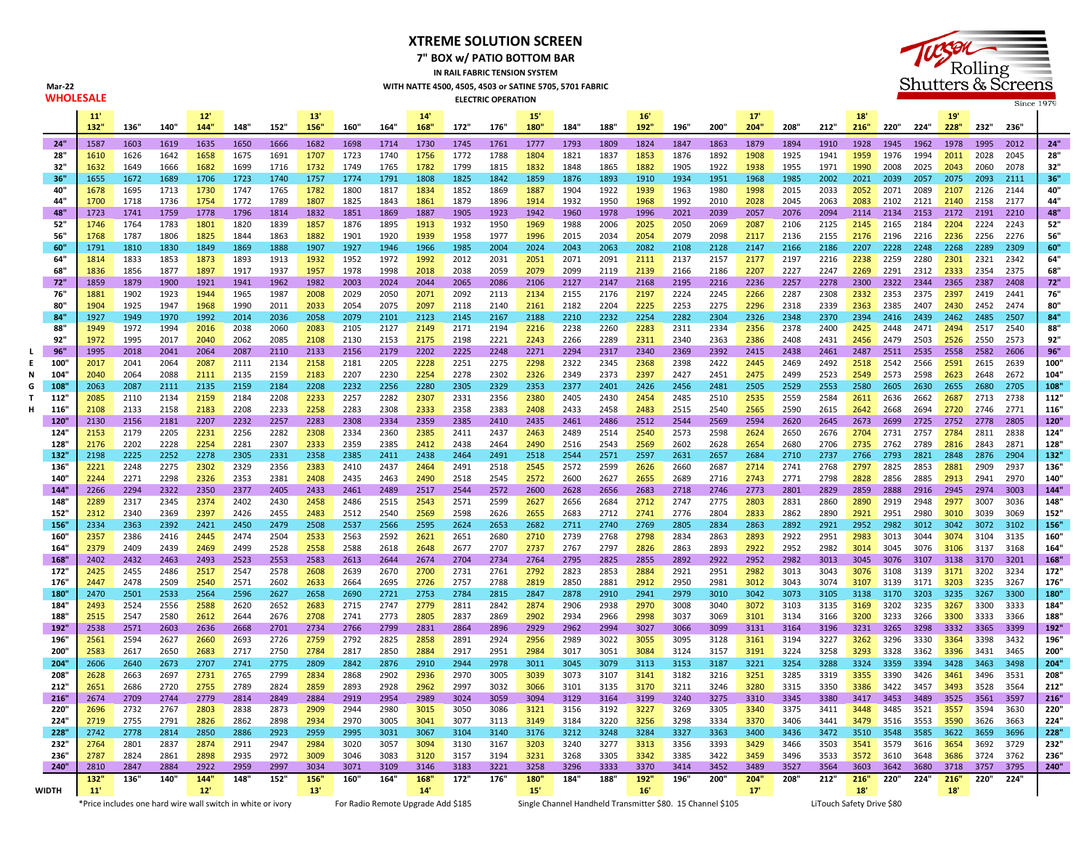## **XTREME SOLUTION SCREEN**

**7" BOX w/ PATIO BOTTOM BAR**

**IN RAIL FABRIC TENSION SYSTEM WITH NATTE 4500, 4505, 4503 or SATINE 5705, 5701 FABRIC ELECTRIC OPERATION** 



|              | 11'<br>132"  | 136"         | 140"         | 12'<br>144"  | 148"         | 152"         | 13'<br>156   | 160"         | 164"         | 14'<br>168"  | 172"         | 176"         | 15'<br>180"  | 184"         | 188"         | 16'<br>192"  | 196"         | 200"         | 17'<br>204"  | 208"         | 212"         | 18'<br>216"  | 220"         | 224"         | 19'<br>228"  | 232"         | 236'         |              |
|--------------|--------------|--------------|--------------|--------------|--------------|--------------|--------------|--------------|--------------|--------------|--------------|--------------|--------------|--------------|--------------|--------------|--------------|--------------|--------------|--------------|--------------|--------------|--------------|--------------|--------------|--------------|--------------|--------------|
| 24"          | 1587         | 1603         | 1619         | 1635         | 1650         | 1666         | 1682         | 1698         | 1714         | 1730         | 1745         | 1761         | 1777         | 1793         | 1809         | 1824         | 1847         | 1863         | 1879         | 1894         | 1910         | 1928         | 1945         | 1962         | 1978         | 1995         | 2012         | 24"          |
| 28"          | 1610         | 1626         | 1642         | 1658         | 1675         | 1691         | 1707         | 1723         | 1740         | 1756         | 1772         | 1788         | 1804         | 1821         | 1837         | 1853         | 1876         | 1892         | 1908         | 1925         | 1941         | 1959         | 1976         | 1994         | 2011         | 2028         | 2045         | 28"          |
| 32"          | 1632         | 1649         | 1666         | 1682         | 1699         | 1716         | 1732         | 1749         | 1765         | 1782         | 1799         | 1815         | 1832         | 1848         | 1865         | 1882         | 1905         | 1922         | 1938         | 1955         | 1971         | 1990         | 2008         | 2025         | 2043         | 2060         | 2078         | 32"          |
| 36"          | 1655         | 1672         | 1689         | 1706         | 1723         | 1740         | 1757         | 1774         | 1791         | 1808         | 1825         | 1842         | 1859         | 1876         | 1893         | 1910         | 1934         | 1951         | 1968         | 1985         | 2002         | 2021         | 2039         | 2057         | 2075         | 2093         | 2111         | 36"          |
| 40"<br>44"   | 1678<br>1700 | 1695<br>1718 | 1713<br>1736 | 1730<br>1754 | 1747<br>1772 | 1765<br>1789 | 1782<br>1807 | 1800<br>1825 | 1817<br>1843 | 1834<br>1861 | 1852<br>1879 | 1869<br>1896 | 1887<br>1914 | 1904<br>1932 | 1922<br>1950 | 1939<br>1968 | 1963<br>1992 | 1980<br>2010 | 1998<br>2028 | 2015<br>2045 | 2033<br>2063 | 2052<br>2083 | 2071<br>2102 | 2089<br>2121 | 2107<br>2140 | 2126<br>2158 | 2144<br>2177 | 40"<br>44"   |
| 48"          | 1723         | 1741         | 1759         | 1778         | 1796         | 1814         | 1832         | 1851         | 1869         | 1887         | 1905         | 1923         | 1942         | 1960         | 1978         | 1996         | 2021         | 2039         | 2057         | 2076         | 2094         | 2114         | 2134         | 2153         | 2172         | 2191         | 2210         | 48"          |
| 52"          | 1746         | 1764         | 1783         | 1801         | 1820         | 1839         | 1857         | 1876         | 1895         | 1913         | 1932         | 1950         | 1969         | 1988         | 2006         | 2025         | 2050         | 2069         | 2087         | 2106         | 2125         | 2145         | 2165         | 2184         | 2204         | 2224         | 2243         | 52"          |
| 56"          | 1768         | 1787         | 1806         | 1825         | 1844         | 1863         | 1882         | 1901         | 1920         | 1939         | 1958         | 1977         | 1996         | 2015         | 2034         | 2054         | 2079         | 2098         | 2117         | 2136         | 2155         | 2176         | 2196         | 2216         | 2236         | 2256         | 2276         | 56"          |
| 60"          | 1791         | 1810         | 1830         | 1849         | 1869         | 1888         | 1907         | 1927         | 1946         | 1966         | 1985         | 2004         | 2024         | 2043         | 2063         | 2082         | 2108         | 2128         | 2147         | 2166         | 2186         | 2207         | 2228         | 2248         | 2268         | 2289         | 2309         | 60"          |
| 64"          | 1814         | 1833         | 1853         | 1873         | 1893         | 1913         | 1932         | 1952         | 1972         | 1992         | 2012         | 2031         | 2051         | 2071         | 2091         | 2111         | 2137         | 2157         | 2177         | 2197         | 2216         | 2238         | 2259         | 2280         | 2301         | 2321         | 2342         | 64"          |
| 68"<br>72"   | 1836<br>1859 | 1856<br>1879 | 1877<br>1900 | 1897<br>1921 | 1917<br>1941 | 1937<br>1962 | 1957<br>1982 | 1978<br>2003 | 1998<br>2024 | 2018<br>2044 | 2038<br>2065 | 2059<br>2086 | 2079<br>2106 | 2099<br>2127 | 2119<br>2147 | 2139<br>2168 | 2166<br>2195 | 2186<br>2216 | 2207<br>2236 | 2227<br>2257 | 2247<br>2278 | 2269<br>2300 | 2291<br>2322 | 2312<br>2344 | 2333<br>2365 | 2354<br>2387 | 2375<br>2408 | 68"<br>72"   |
| 76"          | 1881         | 1902         | 1923         | 1944         | 1965         | 1987         | 2008         | 2029         | 2050         | 2071         | 2092         | 2113         | 2134         | 2155         | 2176         | 2197         | 2224         | 2245         | 2266         | 2287         | 2308         | 2332         | 2353         | 2375         | 2397         | 2419         | 2441         | 76"          |
| 80"          | 1904         | 1925         | 1947         | 1968         | 1990         | 2011         | 2033         | 2054         | 2075         | 2097         | 2118         | 2140         | 2161         | 2182         | 2204         | 2225         | 2253         | 2275         | 2296         | 2318         | 2339         | 2363         | 2385         | 2407         | 2430         | 2452         | 2474         | 80"          |
| 84"          | 1927         | 1949         | 1970         | 1992         | 2014         | 2036         | 2058         | 2079         | 2101         | 2123         | 2145         | 2167         | 2188         | 2210         | 2232         | 2254         | 2282         | 2304         | 2326         | 2348         | 2370         | 2394         | 2416         | 2439         | 2462         | 2485         | 2507         | 84"          |
| 88"          | 1949         | 1972         | 1994         | 2016         | 2038         | 2060         | 2083         | 2105         | 2127         | 2149         | 2171         | 2194         | 2216         | 2238         | 2260         | 2283         | 2311         | 2334         | 2356         | 2378         | 2400         | 2425         | 2448         | 2471         | 2494         | 2517         | 2540         | 88"          |
| 92"          | 1972         | 1995         | 2017         | 2040         | 2062         | 2085         | 2108         | 2130         | 2153         | 2175         | 2198         | 2221         | 2243         | 2266         | 2289         | 2311         | 2340         | 2363         | 2386         | 2408         | 2431         | 2456         | 2479         | 2503         | 2526         | 2550         | 2573         | 92"          |
| 96"          | 1995         | 2018         | 2041         | 2064         | 2087         | 2110         | 2133         | 2156         | 2179         | 2202         | 2225         | 2248         | 2271         | 2294         | 2317         | 2340         | 2369         | 2392         | 2415         | 2438         | 2461         | 2487         | 2511         | 2535         | 2558         | 2582         | 2606         | 96"          |
| 100'<br>104' | 2017<br>2040 | 2041<br>2064 | 2064<br>2088 | 2087<br>2111 | 2111<br>2135 | 2134<br>2159 | 2158<br>2183 | 2181<br>2207 | 2205<br>2230 | 2228<br>2254 | 2251<br>2278 | 2275<br>2302 | 2298<br>2326 | 2322<br>2349 | 2345<br>2373 | 2368<br>2397 | 2398<br>2427 | 2422<br>2451 | 2445<br>2475 | 2469<br>2499 | 2492<br>2523 | 2518<br>2549 | 2542<br>2573 | 2566<br>2598 | 2591<br>2623 | 2615<br>2648 | 2639<br>2672 | 100'<br>104" |
| 108'         | 2063         | 2087         | 2111         | 2135         | 2159         | 2184         | 2208         | 2232         | 2256         | 2280         | 2305         | 2329         | 2353         | 2377         | 2401         | 2426         | 2456         | 2481         | 2505         | 2529         | 2553         | 2580         | 2605         | 2630         | 2655         | 2680         | 2705         | 108"         |
| 112'         | 2085         | 2110         | 2134         | 2159         | 2184         | 2208         | 2233         | 2257         | 2282         | 2307         | 2331         | 2356         | 2380         | 2405         | 2430         | 2454         | 2485         | 2510         | 2535         | 2559         | 2584         | 2611         | 2636         | 2662         | 2687         | 2713         | 2738         | 112"         |
| 116          | 2108         | 2133         | 2158         | 2183         | 2208         | 2233         | 2258         | 2283         | 2308         | 2333         | 2358         | 2383         | 2408         | 2433         | 2458         | 2483         | 2515         | 2540         | 2565         | 2590         | 2615         | 2642         | 2668         | 2694         | 2720         | 2746         | 2771         | 116'         |
| 120"         | 2130         | 2156         | 2181         | 2207         | 2232         | 2257         | 2283         | 2308         | 2334         | 2359         | 2385         | 2410         | 2435         | 2461         | 2486         | 2512         | 2544         | 2569         | 2594         | 2620         | 2645         | 2673         | 2699         | 2725         | 2752         | 2778         | 2805         | 120"         |
| 124'         | 2153         | 2179         | 2205         | 2231         | 2256         | 2282         | 2308         | 2334         | 2360         | 2385         | 2411         | 2437         | 2463         | 2489         | 2514         | 2540         | 2573         | 2598         | 2624         | 2650         | 2676         | 2704         | 2731         | 2757         | 2784         | 2811         | 2838         | 124"         |
| 128'<br>132' | 2176<br>2198 | 2202<br>2225 | 2228<br>2252 | 2254<br>2278 | 2281<br>2305 | 2307<br>2331 | 2333<br>2358 | 2359<br>2385 | 2385<br>2411 | 2412<br>2438 | 2438<br>2464 | 2464<br>2491 | 2490<br>2518 | 2516<br>2544 | 2543<br>2571 | 2569<br>2597 | 2602<br>2631 | 2628<br>2657 | 2654<br>2684 | 2680<br>2710 | 2706<br>2737 | 2735<br>2766 | 2762<br>2793 | 2789<br>2821 | 2816<br>2848 | 2843<br>2876 | 2871<br>2904 | 128'<br>132" |
| 136'         | 2221         | 2248         | 2275         | 2302         | 2329         | 2356         | 2383         | 2410         | 2437         | 2464         | 2491         | 2518         | 2545         | 2572         | 2599         | 2626         | 2660         | 2687         | 2714         | 2741         | 2768         | 2797         | 2825         | 2853         | 2881         | 2909         | 2937         | 136'         |
| 140'         | 2244         | 2271         | 2298         | 2326         | 2353         | 2381         | 2408         | 2435         | 2463         | 2490         | 2518         | 2545         | 2572         | 2600         | 2627         | 2655         | 2689         | 2716         | 2743         | 2771         | 2798         | 2828         | 2856         | 2885         | 2913         | 2941         | 2970         | 140'         |
| 144          | 2266         | 2294         | 2322         | 2350         | 2377         | 2405         | 2433         | 2461         | 2489         | 2517         | 2544         | 2572         | 2600         | 2628         | 2656         | 2683         | 2718         | 2746         | 2773         | 2801         | 2829         | 2859         | 2888         | 2916         | 2945         | 2974         | 3003         | 144"         |
| 148'         | 2289         | 2317         | 2345         | 2374         | 2402         | 2430         | 2458         | 2486         | 2515         | 2543         | 2571         | 2599         | 2627         | 2656         | 2684         | 2712         | 2747         | 2775         | 2803         | 2831         | 2860         | 2890         | 2919         | 2948         | 2977         | 3007         | 3036         | 148"         |
| 152"         | 2312         | 2340         | 2369         | 2397         | 2426         | 2455         | 2483         | 2512         | 2540         | 2569         | 2598         | 2626         | 2655         | 2683         | 2712         | 2741         | 2776         | 2804         | 2833         | 2862         | 2890         | 2921         | 2951         | 2980         | 3010         | 3039         | 3069         | 152"         |
| 156<br>160"  | 2334<br>2357 | 2363<br>2386 | 2392<br>2416 | 2421<br>2445 | 2450<br>2474 | 2479<br>2504 | 2508<br>2533 | 2537<br>2563 | 2566<br>2592 | 2595<br>2621 | 2624<br>2651 | 2653<br>2680 | 2682<br>2710 | 2711<br>2739 | 2740<br>2768 | 2769<br>2798 | 2805<br>2834 | 2834<br>2863 | 2863<br>2893 | 2892<br>2922 | 2921<br>2951 | 2952<br>2983 | 2982<br>3013 | 3012<br>3044 | 3042<br>3074 | 3072<br>3104 | 3102<br>3135 | 156"<br>160' |
| 164'         | 2379         | 2409         | 2439         | 2469         | 2499         | 2528         | 2558         | 2588         | 2618         | 2648         | 2677         | 2707         | 2737         | 2767         | 2797         | 2826         | 2863         | 2893         | 2922         | 2952         | 2982         | 3014         | 3045         | 3076         | 3106         | 3137         | 3168         | 164'         |
| 168"         | 2402         | 2432         | 2463         | 2493         | 2523         | 2553         | 2583         | 2613         | 2644         | 2674         | 2704         | 2734         | 2764         | 2795         | 2825         | 2855         | 2892         | 2922         | 2952         | 2982         | 3013         | 3045         | 3076         | 3107         | 3138         | 3170         | 3201         | 168"         |
| 172"         | 2425         | 2455         | 2486         | 2517         | 2547         | 2578         | 2608         | 2639         | 2670         | 2700         | 2731         | 2761         | 2792         | 2823         | 2853         | 2884         | 2921         | 2951         | 2982         | 3013         | 3043         | 3076         | 3108         | 3139         | 3171         | 3202         | 3234         | 172"         |
| 176"         | 2447         | 2478         | 2509         | 2540         | 2571         | 2602         | 2633         | 2664         | 2695         | 2726         | 2757         | 2788         | 2819         | 2850         | 2881         | 2912         | 2950         | 2981         | 3012         | 3043         | 3074         | 3107         | 3139         | 3171         | 3203         | 3235         | 3267         | 176'         |
| 180          | 2470         | 2501         | 2533         | 2564         | 2596         | 2627         | 2658         | 2690         | 2721         | 2753         | 2784         | 2815         | 2847         | 2878         | 2910         | 2941         | 2979         | 3010         | 3042         | 3073         | 3105         | 3138         | 3170         | 3203         | 3235         | 3267         | 3300         | 180'         |
| 184"<br>188' | 2493<br>2515 | 2524<br>2547 | 2556<br>2580 | 2588<br>2612 | 2620<br>2644 | 2652<br>2676 | 2683<br>2708 | 2715<br>2741 | 2747<br>2773 | 2779<br>2805 | 2811<br>2837 | 2842<br>2869 | 2874<br>2902 | 2906<br>2934 | 2938<br>2966 | 2970<br>2998 | 3008<br>3037 | 3040<br>3069 | 3072<br>3101 | 3103<br>3134 | 3135<br>3166 | 3169<br>3200 | 3202<br>3233 | 3235<br>3266 | 3267<br>3300 | 3300<br>3333 | 3333<br>3366 | 184'<br>188' |
| 192          | 2538         | 2571         | 2603         | 2636         | 2668         | 2701         | 2734         | 2766         | 2799         | 2831         | 2864         | 2896         | 2929         | 2962         | 2994         | 3027         | 3066         | 3099         | 3131         | 3164         | 3196         | 3231         | 3265         | 3298         | 3332         | 3365         | 3399         | 192"         |
| 196"         | 2561         | 2594         | 2627         | 2660         | 2693         | 2726         | 2759         | 2792         | 2825         | 2858         | 2891         | 2924         | 2956         | 2989         | 3022         | 3055         | 3095         | 3128         | 3161         | 3194         | 3227         | 3262         | 3296         | 3330         | 3364         | 3398         | 3432         | 196"         |
| 200"         | 2583         | 2617         | 2650         | 2683         | 2717         | 2750         | 2784         | 2817         | 2850         | 2884         | 2917         | 2951         | 2984         | 3017         | 3051         | 3084         | 3124         | 3157         | 3191         | 3224         | 3258         | 3293         | 3328         | 3362         | 3396         | 3431         | 3465         | 200'         |
| 204"         | 2606         | 2640         | 2673         | 2707         | 2741         | 2775         | 2809         | 2842         | 2876         | 2910         | 2944         | 2978         | 3011         | 3045         | 3079         | 3113         | 3153         | 3187         | 3221         | 3254         | 3288         | 3324         | 3359         | 3394         | 3428         | 3463         | 3498         | 204"         |
| 208"         | 2628         | 2663         | 2697         | 2731         | 2765         | 2799         | 2834         | 2868         | 2902         | 2936         | 2970         | 3005         | 3039         | 3073         | 3107         | 3141         | 3182         | 3216         | 3251         | 3285         | 3319         | 3355         | 3390         | 3426         | 3461         | 3496         | 3531         | 208'         |
| 212'<br>216" | 2651<br>2674 | 2686<br>2709 | 2720<br>2744 | 2755<br>2779 | 2789<br>2814 | 2824<br>2849 | 2859<br>2884 | 2893<br>2919 | 2928<br>2954 | 2962<br>2989 | 2997<br>3024 | 3032<br>3059 | 3066<br>3094 | 3101<br>3129 | 3135<br>3164 | 3170<br>3199 | 3211<br>3240 | 3246<br>3275 | 3280<br>3310 | 3315<br>3345 | 3350<br>3380 | 3386<br>3417 | 3422<br>3453 | 3457<br>3489 | 3493<br>3525 | 3528<br>3561 | 3564<br>3597 | 212'<br>216" |
| 220'         | 2696         | 2732         | 2767         | 2803         | 2838         | 2873         | 2909         | 2944         | 2980         | 3015         | 3050         | 3086         | 3121         | 3156         | 3192         | 3227         | 3269         | 3305         | 3340         | 3375         | 3411         | 3448         | 3485         | 3521         | 3557         | 3594         | 3630         | 220          |
| 224"         | 2719         | 2755         | 2791         | 2826         | 2862         | 2898         | 2934         | 2970         | 3005         | 3041         | 3077         | 3113         | 3149         | 3184         | 3220         | 3256         | 3298         | 3334         | 3370         | 3406         | 3441         | 3479         | 3516         | 3553         | 3590         | 3626         | 3663         | 224"         |
| 228'         | 2742         | 2778         | 2814         | 2850         | 2886         | 2923         | 2959         | 2995         | 3031         | 3067         | 3104         | 3140         | 3176         | 3212         | 3248         | 3284         | 3327         | 3363         | 3400         | 3436         | 3472         | 3510         | 3548         | 3585         | 3622         | 3659         | 3696         | 228"         |
| 232"         | 2764         | 2801         | 2837         | 2874         | 2911         | 2947         | 2984         | 3020         | 3057         | 3094         | 3130         | 3167         | 3203         | 3240         | 3277         | 3313         | 3356         | 3393         | 3429         | 3466         | 3503         | 3541         | 3579         | 3616         | 3654         | 3692         | 3729         | 232"         |
| 236'<br>240" | 2787<br>2810 | 2824<br>2847 | 2861<br>2884 | 2898<br>2922 | 2935<br>2959 | 2972<br>2997 | 3009<br>3034 | 3046         | 3083         | 3120         | 3157         | 3194<br>3221 | 3231<br>3258 | 3268         | 3305<br>3333 | 3342<br>3370 | 3385         | 3422<br>3452 | 3459<br>3489 | 3496         | 3533<br>3564 | 3572<br>3603 | 3610<br>3642 | 3648<br>3680 | 3686<br>3718 | 3724<br>3757 | 3762<br>3795 | 236'<br>240" |
|              | 132          | 136"         | 140"         | 144          | 148          | 152"         | 156'         | 3071<br>160" | 3109<br>164" | 3146<br>168' | 3183<br>172" | 176"         | 180"         | 3296<br>184" | 188"         | 192"         | 3414<br>196" | 200"         | 204"         | 3527<br>208" | 212"         | 216"         | 220"         | 224"         | 216"         | 220"         | 224          |              |
| WIDTH        | 11'          |              |              | 12'          |              |              | 13'          |              |              | 14'          |              |              | 15'          |              |              | 16'          |              |              | 17'          |              |              | 18'          |              |              | 18'          |              |              |              |

Mar-22<br>**WHOLESALE** 

\*Price includes one hard wire wall switch in white or ivory For Radio Remote Upgrade Add \$185 Single Channel Handheld Transmitter \$80. 15 Channel \$105

LiTouch Safety Drive \$80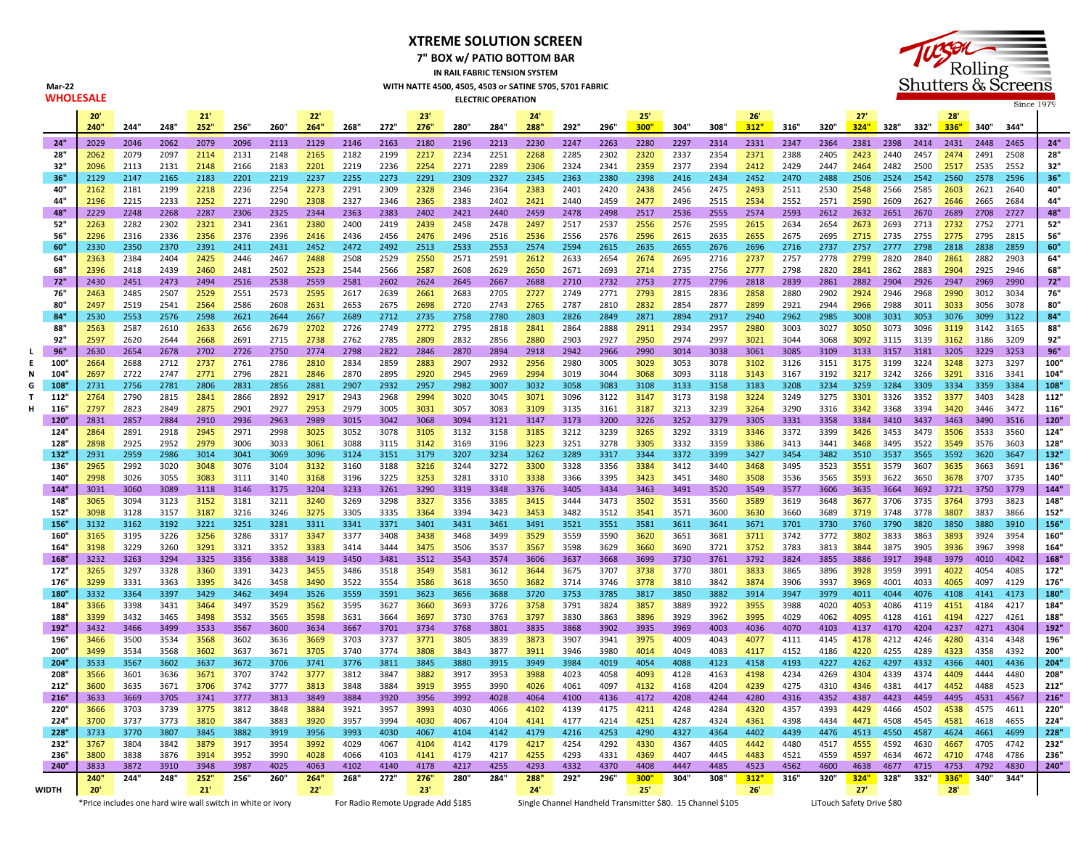## **XTREME SOLUTION SCREEN**

**7" BOX w/ PATIO BOTTOM BAR**

**IN RAIL FABRIC TENSION SYSTEM WITH NATTE 4500, 4505, 4503 or SATINE 5705, 5701 FABRIC ELECTRIC OPERATION**



|   |                                                             | $20^{\circ}$ |              |              | 21'          |              |              | 22'          |              |                                    | 23'          |              |              | 24'          |              |              | 25'                                                        |              |              | 26'          |              |                           | 27'          |              |              | 28'          |              |              |              |
|---|-------------------------------------------------------------|--------------|--------------|--------------|--------------|--------------|--------------|--------------|--------------|------------------------------------|--------------|--------------|--------------|--------------|--------------|--------------|------------------------------------------------------------|--------------|--------------|--------------|--------------|---------------------------|--------------|--------------|--------------|--------------|--------------|--------------|--------------|
|   |                                                             | 240"         | 244"         | 248"         | 252"         | 256"         | 260"         | 264"         | 268"         | 272"                               | 276"         | 280"         | 284"         | 288"         | 292"         | 296"         | 300"                                                       | 304"         | 308"         | 312"         | 316"         | 320"                      | 324"         | 328" 332"    |              | 336"         | 340"         | 344'         |              |
|   | 24"                                                         | 2029         | 2046         | 2062         | 2079         | 2096         | 2113         | 2129         | 2146         | 2163                               | 2180         | 2196         | 2213         | 2230         | 2247         | 2263         | 2280                                                       | 2297         | 2314         | 2331         | 2347         | 2364                      | 2381         | 2398         | 2414         | 2431         | 2448         | 2465         | 24"          |
|   | 28"                                                         | 2062         | 2079         | 2097         | 2114         | 2131         | 2148         | 2165         | 2182         | 2199                               | 2217         | 2234         | 2251         | 2268         | 2285         | 2302         | 2320                                                       | 2337         | 2354         | 2371         | 2388         | 2405                      | 2423         | 2440         | 2457         | 2474         | 2491         | 2508         | 28"          |
|   | 32"                                                         | 2096         | 2113         | 2131         | 2148         | 2166         | 2183         | 2201         | 2219         | 2236                               | 2254         | 2271         | 2289         | 2306         | 2324         | 2341         | 2359                                                       | 2377         | 2394         | 2412         | 2429         | 2447                      | 2464         | 2482         | 2500         | 2517         | 2535         | 2552         | 32"          |
|   | 36"                                                         | 2129         | 2147         | 2165         | 2183         | 2201         | 2219         | 2237         | 2255         | 2273                               | 2291         | 2309         | 2327         | 2345         | 2363         | 2380         | 2398                                                       | 2416         | 2434         | 2452         | 2470         | 2488                      | 2506         | 2524         | 2542         | 2560         | 2578         | 2596         | 36"          |
|   | 40"<br>44"                                                  | 2162         | 2181         | 2199         | 2218         | 2236         | 2254         | 2273         | 2291         | 2309                               | 2328         | 2346         | 2364         | 2383         | 2401         | 2420<br>2459 | 2438                                                       | 2456         | 2475<br>2515 | 2493         | 2511         | 2530                      | 2548         | 2566         | 2585         | 2603         | 2621         | 2640         | 40"<br>44"   |
|   | 48"                                                         | 2196<br>2229 | 2215<br>2248 | 2233<br>2268 | 2252<br>2287 | 2271<br>2306 | 2290<br>2325 | 2308<br>2344 | 2327<br>2363 | 2346<br>2383                       | 2365<br>2402 | 2383<br>2421 | 2402<br>2440 | 2421<br>2459 | 2440<br>2478 | 2498         | 2477<br>2517                                               | 2496<br>2536 | 2555         | 2534<br>2574 | 2552<br>2593 | 2571<br>2612              | 2590<br>2632 | 2609<br>2651 | 2627<br>2670 | 2646<br>2689 | 2665<br>2708 | 2684<br>2727 | 48"          |
|   | 52"                                                         | 2263         | 2282         | 2302         | 2321         | 2341         | 2361         | 2380         | 2400         | 2419                               | 2439         | 2458         | 2478         | 2497         | 2517         | 2537         | 2556                                                       | 2576         | 2595         | 2615         | 2634         | 2654                      | 2673         | 2693         | 2713         | 2732         | 2752         | 2771         | 52"          |
|   | 56"                                                         | 2296         | 2316         | 2336         | 2356         | 2376         | 2396         | 2416         | 2436         | 2456                               | 2476         | 2496         | 2516         | 2536         | 2556         | 2576         | 2596                                                       | 2615         | 2635         | 2655         | 2675         | 2695                      | 2715         | 2735         | 2755         | 2775         | 2795         | 2815         | 56"          |
|   | 60"                                                         | 2330         | 2350         | 2370         | 2391         | 2411         | 2431         | 2452         | 2472         | 2492                               | 2513         | 2533         | 2553         | 2574         | 2594         | 2615         | 2635                                                       | 2655         | 2676         | 2696         | 2716         | 2737                      | 2757         | 2777         | 2798         | 2818         | 2838         | 2859         | 60"          |
|   | 64"                                                         | 2363         | 2384         | 2404         | 2425         | 2446         | 2467         | 2488         | 2508         | 2529                               | 2550         | 2571         | 2591         | 2612         | 2633         | 2654         | 2674                                                       | 2695         | 2716         | 2737         | 2757         | 2778                      | 2799         | 2820         | 2840         | 2861         | 2882         | 2903         | 64"          |
|   | 68"                                                         | 2396         | 2418         | 2439         | 2460         | 2481         | 2502         | 2523         | 2544         | 2566                               | 2587         | 2608         | 2629         | 2650         | 2671         | 2693         | 2714                                                       | 2735         | 2756         | 2777         | 2798         | 2820                      | 2841         | 2862         | 2883         | 2904         | 2925         | 2946         | 68"          |
|   | 72"                                                         | 2430         | 2451         | 2473         | 2494         | 2516         | 2538         | 2559         | 2581         | 2602                               | 2624         | 2645         | 2667         | 2688         | 2710         | 2732         | 2753                                                       | 2775         | 2796         | 2818         | 2839         | 2861                      | 2882         | 2904         | 2926         | 2947         | 2969         | 2990         | 72"          |
|   | 76"                                                         | 2463         | 2485         | 2507         | 2529         | 2551         | 2573         | 2595         | 2617         | 2639                               | 2661         | 2683         | 2705         | 2727         | 2749         | 2771         | 2793                                                       | 2815         | 2836         | 2858         | 2880         | 2902                      | 2924         | 2946         | 2968         | 2990         | 3012         | 3034         | 76"          |
|   | 80"                                                         | 2497         | 2519         | 2541         | 2564         | 2586         | 2608         | 2631         | 2653         | 2675                               | 2698         | 2720         | 2743         | 2765         | 2787         | 2810         | 2832                                                       | 2854         | 2877         | 2899         | 2921         | 2944                      | 2966         | 2988         | 3011         | 3033         | 3056         | 3078         | 80"          |
|   | 84"                                                         | 2530         | 2553         | 2576         | 2598         | 2621         | 2644         | 2667         | 2689         | 2712                               | 2735         | 2758         | 2780         | 2803         | 2826         | 2849         | 2871                                                       | 2894         | 2917         | 2940         | 2962         | 2985                      | 3008         | 3031         | 3053         | 3076         | 3099         | 3122         | 84"          |
|   | 88"                                                         | 2563         | 2587         | 2610         | 2633         | 2656         | 2679         | 2702         | 2726         | 2749                               | 2772         | 2795         | 2818         | 2841         | 2864         | 2888         | 2911                                                       | 2934         | 2957         | 2980         | 3003         | 3027                      | 3050         | 3073         | 3096         | 3119         | 3142         | 3165         | 88"          |
|   | 92"                                                         | 2597         | 2620         | 2644         | 2668         | 2691         | 2715         | 2738         | 2762         | 2785                               | 2809         | 2832         | 2856         | 2880         | 2903         | 2927         | 2950                                                       | 2974         | 2997         | 3021         | 3044         | 3068                      | 3092         | 3115         | 3139         | 3162         | 3186         | 3209         | 92"          |
|   | 96"                                                         | 2630         | 2654         | 2678         | 2702         | 2726         | 2750         | 2774         | 2798         | 2822                               | 2846         | 2870         | 2894         | 2918         | 2942         | 2966         | 2990                                                       | 3014         | 3038         | 3061         | 3085         | 3109                      | 3133         | 3157 3181    |              | 3205         | 3229         | 3253         | 96"          |
| E | 100'                                                        | 2664         | 2688         | 2712         | 2737         | 2761         | 2786         | 2810         | 2834         | 2859                               | 2883         | 2907         | 2932         | 2956         | 2980         | 3005         | 3029                                                       | 3053         | 3078         | 3102         | 3126         | 3151                      | 3175         | 3199         | 3224         | 3248         | 3273         | 3297         | 100"         |
|   | 104                                                         | 2697         | 2722         | 2747         | 2771         | 2796         | 2821         | 2846         | 2870         | 2895                               | 2920         | 2945         | 2969         | 2994         | 3019         | 3044         | 3068                                                       | 3093         | 3118         | 3143         | 3167         | 3192                      | 3217         | 3242         | 3266         | 3291         | 3316         | 3341         | 104"         |
|   | 108                                                         | 2731         | 2756         | 2781         | 2806         | 2831         | 2856         | 2881         | 2907         | 2932                               | 2957         | 2982         | 3007         | 3032         | 3058         | 3083         | 3108                                                       | 3133         | 3158         | 3183         | 3208         | 3234                      | 3259         | 3284         | 3309         | 3334         | 3359         | 3384         | 108"         |
|   | 112                                                         | 2764         | 2790<br>2823 | 2815         | 2841         | 2866<br>2901 | 2892         | 2917         | 2943<br>2979 | 2968                               | 2994         | 3020<br>3057 | 3045         | 3071         | 3096<br>3135 | 3122<br>3161 | 3147                                                       | 3173<br>3213 | 3198<br>3239 | 3224         | 3249<br>3290 | 3275<br>3316              | 3301<br>3342 | 3326         | 3352         | 3377<br>3420 | 3403<br>3446 | 3428<br>3472 | 112"<br>116" |
|   | 116<br>120'                                                 | 2797<br>2831 | 2857         | 2849<br>2884 | 2875<br>2910 | 2936         | 2927<br>2963 | 2953<br>2989 | 3015         | 3005<br>3042                       | 3031<br>3068 | 3094         | 3083<br>3121 | 3109<br>3147 | 3173         | 3200         | 3187<br>3226                                               | 3252         | 3279         | 3264<br>3305 | 3331         | 3358                      | 3384         | 3368<br>3410 | 3394<br>3437 | 3463         | 3490         | 3516         | 120"         |
|   | 124                                                         | 2864         | 2891         | 2918         | 2945         | 2971         | 2998         | 3025         | 3052         | 3078                               | 3105         | 3132         | 3158         | 3185         | 3212         | 3239         | 3265                                                       | 3292         | 3319         | 3346         | 3372         | 3399                      | 3426         | 3453         | 3479         | 3506         | 3533         | 3560         | 124"         |
|   | 128                                                         | 2898         | 2925         | 2952         | 2979         | 3006         | 3033         | 3061         | 3088         | 3115                               | 3142         | 3169         | 3196         | 3223         | 3251         | 3278         | 3305                                                       | 3332         | 3359         | 3386         | 3413         | 3441                      | 3468         | 3495         | 3522         | 3549         | 3576         | 3603         | 128"         |
|   | 132                                                         | 2931         | 2959         | 2986         | 3014         | 3041         | 3069         | 3096         | 3124         | 3151                               | 3179         | 3207         | 3234         | 3262         | 3289         | 3317         | 3344                                                       | 3372         | 3399         | 3427         | 3454         | 3482                      | 3510         | 3537         | 3565         | 3592         | 3620         | 3647         | 132"         |
|   | 136'                                                        | 2965         | 2992         | 3020         | 3048         | 3076         | 3104         | 3132         | 3160         | 3188                               | 3216         | 3244         | 3272         | 3300         | 3328         | 3356         | 3384                                                       | 3412         | 3440         | 3468         | 3495         | 3523                      | 3551         | 3579         | 3607         | 3635         | 3663         | 3691         | 136"         |
|   | 140                                                         | 2998         | 3026         | 3055         | 3083         | 3111         | 3140         | 3168         | 3196         | 3225                               | 3253         | 3281         | 3310         | 3338         | 3366         | 3395         | 3423                                                       | 3451         | 3480         | 3508         | 3536         | 3565                      | 3593         | 3622         | 3650         | 3678         | 3707         | 3735         | 140"         |
|   | 144"                                                        | 3031         | 3060         | 3089         | 3118         | 3146         | 3175         | 3204         | 3233         | 3261                               | 3290         | 3319         | 3348         | 3376         | 3405         | 3434         | 3463                                                       | 3491         | 3520         | 3549         | 3577         | 3606                      | 3635         | 3664         | 3692         | 3721         | 3750         | 3779         | 144"         |
|   | 148"                                                        | 3065         | 3094         | 3123         | 3152         | 3181         | 3211         | 3240         | 3269         | 3298                               | 3327         | 3356         | 3385         | 3415         | 3444         | 3473         | 3502                                                       | 3531         | 3560         | 3589         | 3619         | 3648                      | 3677         | 3706         | 3735         | 3764         | 3793         | 3823         | 148"         |
|   | 152"                                                        | 3098         | 3128         | 3157         | 3187         | 3216         | 3246         | 3275         | 3305         | 3335                               | 3364         | 3394         | 3423         | 3453         | 3482         | 3512         | 3541                                                       | 3571         | 3600         | 3630         | 3660         | 3689                      | 3719         | 3748         | 3778         | 3807         | 3837         | 3866         | 152"         |
|   | 156"                                                        | 3132         | 3162         | 3192         | 3221         | 3251         | 3281         | 3311         | 3341         | 3371                               | 3401         | 3431         | 3461         | 3491         | 3521         | 3551         | 3581                                                       | 3611         | 3641         | 3671         | 3701         | 3730                      | 3760         | 3790         | 3820         | 3850         | 3880         | 3910         | 156"         |
|   | 160'                                                        | 3165         | 3195         | 3226         | 3256         | 3286         | 3317         | 3347         | 3377         | 3408                               | 3438         | 3468         | 3499         | 3529         | 3559         | 3590         | 3620                                                       | 3651         | 3681         | 3711         | 3742         | 3772                      | 3802         | 3833         | 3863         | 3893         | 3924         | 3954         | 160"         |
|   | 164"                                                        | 3198         | 3229         | 3260         | 3291         | 3321         | 3352         | 3383         | 3414         | 3444                               | 3475         | 3506         | 3537         | 3567         | 3598         | 3629         | 3660                                                       | 3690         | 3721         | 3752         | 3783         | 3813                      | 3844         | 3875         | 3905         | 3936         | 3967         | 3998         | 164"         |
|   | 168"                                                        | 3232         | 3263         | 3294         | 3325         | 3356         | 3388         | 3419         | 3450         | 3481                               | 3512         | 3543         | 3574         | 3606         | 3637         | 3668         | 3699                                                       | 3730         | 3761         | 3792         | 3824         | 3855                      | 3886         | 3917         | 3948         | 3979         | 4010         | 4042         | 168"         |
|   | 172"                                                        | 3265         | 3297         | 3328         | 3360         | 3391         | 3423         | 3455         | 3486         | 3518                               | 3549         | 3581         | 3612         | 3644         | 3675         | 3707         | 3738                                                       | 3770         | 3801         | 3833         | 3865         | 3896                      | 3928         | 3959         | 3991         | 4022         | 4054         | 4085         | 172"         |
|   | 176"                                                        | 3299         | 3331         | 3363         | 3395         | 3426         | 3458         | 3490         | 3522         | 3554                               | 3586         | 3618         | 3650         | 3682         | 3714         | 3746         | 3778                                                       | 3810         | 3842         | 3874         | 3906         | 3937                      | 3969         | 4001         | 4033         | 4065         | 4097         | 4129         | 176"         |
|   | 180<br>184"                                                 | 3332         | 3364<br>3398 | 3397<br>3431 | 3429         | 3462<br>3497 | 3494<br>3529 | 3526<br>3562 | 3559<br>3595 | 3591<br>3627                       | 3623<br>3660 | 3656<br>3693 | 3688<br>3726 | 3720<br>3758 | 3753<br>3791 | 3785<br>3824 | 3817                                                       | 3850<br>3889 | 3882<br>3922 | 3914         | 3947<br>3988 | 3979<br>4020              | 4011<br>4053 | 4044<br>4086 | 4076<br>4119 | 4108<br>4151 | 4141<br>4184 | 4173<br>4217 | 180"<br>184" |
|   | 188'                                                        | 3366<br>3399 | 3432         | 3465         | 3464<br>3498 | 3532         | 3565         | 3598         | 3631         | 3664                               | 3697         | 3730         | 3763         | 3797         | 3830         | 3863         | 3857<br>3896                                               | 3929         | 3962         | 3955<br>3995 | 4029         | 4062                      | 4095         | 4128         | 4161         | 4194         | 4227         | 4261         | 188"         |
|   | 192                                                         | 3432         | 3466         | 3499         | 3533         | 3567         | 3600         | 3634         | 3667         | 3701                               | 3734         | 3768         | 3801         | 3835         | 3868         | 3902         | 3935                                                       | 3969         | 4003         | 4036         | 4070         | 4103                      | 4137         | 4170         | 4204         | 4237         | 4271         | 4304         | 192"         |
|   | 196'                                                        | 3466         | 3500         | 3534         | 3568         | 3602         | 3636         | 3669         | 3703         | 3737                               | 3771         | 3805         | 3839         | 3873         | 3907         | 3941         | 3975                                                       | 4009         | 4043         | 4077         | 4111         | 4145                      | 4178         | 4212         | 4246         | 4280         | 4314         | 4348         | 196"         |
|   | 200'                                                        | 3499         | 3534         | 3568         | 3602         | 3637         | 3671         | 3705         | 3740         | 3774                               | 3808         | 3843         | 3877         | 3911         | 3946         | 3980         | 4014                                                       | 4049         | 4083         | 4117         | 4152         | 4186                      | 4220         | 4255         | 4289         | 4323         | 4358         | 4392         | 200"         |
|   | 204"                                                        | 3533         | 3567         | 3602         | 3637         | 3672         | 3706         | 3741         | 3776         | 3811                               | 3845         | 3880         | 3915         | 3949         | 3984         | 4019         | 4054                                                       | 4088         | 4123         | 4158         | 4193         | 4227                      | 4262         | 4297         | 4332         | 4366         | 4401         | 4436         | 204"         |
|   | 208"                                                        | 3566         | 3601         | 3636         | 3671         | 3707         | 3742         | 3777         | 3812         | 3847                               | 3882         | 3917         | 3953         | 3988         | 4023         | 4058         | 4093                                                       | 4128         | 4163         | 4198         | 4234         | 4269                      | 4304         | 4339         | 4374         | 4409         | 4444         | 4480         | 208"         |
|   | 212"                                                        | 3600         | 3635         | 3671         | 3706         | 3742         | 3777         | 3813         | 3848         | 3884                               | 3919         | 3955         | 3990         | 4026         | 4061         | 4097         | 4132                                                       | 4168         | 4204         | 4239         | 4275         | 4310                      | 4346         | 4381         | 4417         | 4452         | 4488         | 4523         | 212"         |
|   | 216"                                                        | 3633         | 3669         | 3705         | 3741         | 3777         | 3813         | 3849         | 3884         | 3920                               | 3956         | 3992         | 4028         | 4064         | 4100         | 4136         | 4172                                                       | 4208         | 4244         | 4280         | 4316         | 4352                      | 4387         | 4423         | 4459         | 4495         | 4531         | 4567         | 216"         |
|   | 220"                                                        | 3666         | 3703         | 3739         | 3775         | 3812         | 3848         | 3884         | 3921         | 3957                               | 3993         | 4030         | 4066         | 4102         | 4139         | 4175         | 4211                                                       | 4248         | 4284         | 4320         | 4357         | 4393                      | 4429         | 4466         | 4502         | 4538         | 4575         | 4611         | 220"         |
|   | 224"                                                        | 3700         | 3737         | 3773         | 3810         | 3847         | 3883         | 3920         | 3957         | 3994                               | 4030         | 4067         | 4104         | 4141         | 4177         | 4214         | 4251                                                       | 4287         | 4324         | 4361         | 4398         | 4434                      | 4471         | 4508         | 4545         | 4581         | 4618         | 4655         | 224"         |
|   | 228"                                                        | 3733         | 3770         | 3807         | 3845         | 3882         | 3919         | 3956         | 3993         | 4030                               | 4067         | 4104         | 4142         | 4179         | 4216         | 4253         | 4290                                                       | 4327         | 4364         | 4402         | 4439         | 4476                      | 4513         | 4550         | 4587         | 4624         | 4661         | 4699         | 228"         |
|   | 232"                                                        | 3767         | 3804         | 3842         | 3879         | 3917         | 3954         | 3992         | 4029         | 4067                               | 4104         | 4142         | 4179         | 4217         | 4254         | 4292         | 4330                                                       | 4367         | 4405         | 4442         | 4480         | 4517                      | 4555         | 4592         | 4630         | 4667         | 4705         | 4742         | 232"         |
|   | 236'                                                        | 3800         | 3838         | 3876         | 3914         | 3952         | 3990         | 4028         | 4066         | 4103                               | 4141         | 4179         | 4217         | 4255         | 4293         | 4331         | 4369                                                       | 4407         | 4445         | 4483         | 4521         | 4559                      | 4597         | 4634         | 4672         | 4710         | 4748         | 4786         | 236"         |
|   | 240"                                                        | 3833         | 3872         | 3910         | 3948         | 3987         | 4025         | 4063         | 4102         | 4140                               | 4178         | 4217         | 4255         | 4293         | 4332         | 4370         | 4408                                                       | 4447         | 4485         | 4523         | 4562         | 4600                      | 4638         | 4677         | 4715         | 4753         | 4792         | 4830         | 240"         |
|   |                                                             | 240<br>20'   | 244"         | 248"         | 252'<br>21'  | 256          | 260'         | 264'<br>22"  | 268"         | 272"                               | 276"<br>23'  | 280"         | 284"         | 288<br>24'   | 292"         | 296'         | 300"<br>25'                                                | 304'         | 308"         | 312"<br>26'  | 316"         | 320"                      | 324"<br>27'  | 328"         | 332"         | 336"<br>28'  | 340"         | 344          |              |
|   | <b>WIDTH</b>                                                |              |              |              |              |              |              |              |              |                                    |              |              |              |              |              |              |                                                            |              |              |              |              |                           |              |              |              |              |              |              |              |
|   | *Price includes one hard wire wall switch in white or ivory |              |              |              |              |              |              |              |              | For Radio Remote Upgrade Add \$185 |              |              |              |              |              |              | Single Channel Handheld Transmitter \$80. 15 Channel \$105 |              |              |              |              | LiTouch Safety Drive \$80 |              |              |              |              |              |              |              |

**Mar-22**

**WHOLESALE**